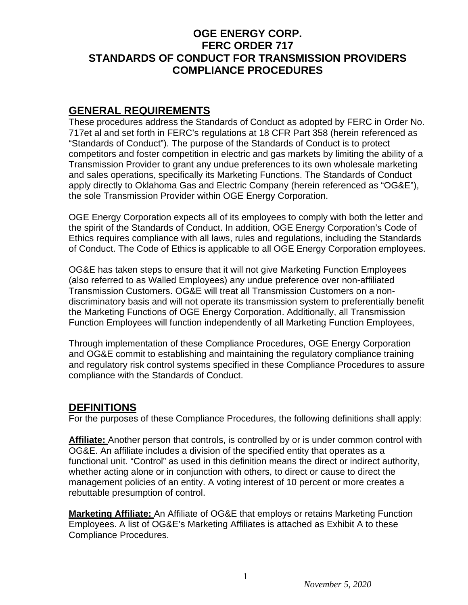## **OGE ENERGY CORP. FERC ORDER 717 STANDARDS OF CONDUCT FOR TRANSMISSION PROVIDERS COMPLIANCE PROCEDURES**

## **GENERAL REQUIREMENTS**

These procedures address the Standards of Conduct as adopted by FERC in Order No. 717et al and set forth in FERC's regulations at 18 CFR Part 358 (herein referenced as "Standards of Conduct"). The purpose of the Standards of Conduct is to protect competitors and foster competition in electric and gas markets by limiting the ability of a Transmission Provider to grant any undue preferences to its own wholesale marketing and sales operations, specifically its Marketing Functions. The Standards of Conduct apply directly to Oklahoma Gas and Electric Company (herein referenced as "OG&E"), the sole Transmission Provider within OGE Energy Corporation.

OGE Energy Corporation expects all of its employees to comply with both the letter and the spirit of the Standards of Conduct. In addition, OGE Energy Corporation's Code of Ethics requires compliance with all laws, rules and regulations, including the Standards of Conduct. The Code of Ethics is applicable to all OGE Energy Corporation employees.

OG&E has taken steps to ensure that it will not give Marketing Function Employees (also referred to as Walled Employees) any undue preference over non-affiliated Transmission Customers. OG&E will treat all Transmission Customers on a nondiscriminatory basis and will not operate its transmission system to preferentially benefit the Marketing Functions of OGE Energy Corporation. Additionally, all Transmission Function Employees will function independently of all Marketing Function Employees,

Through implementation of these Compliance Procedures, OGE Energy Corporation and OG&E commit to establishing and maintaining the regulatory compliance training and regulatory risk control systems specified in these Compliance Procedures to assure compliance with the Standards of Conduct.

## **DEFINITIONS**

For the purposes of these Compliance Procedures, the following definitions shall apply:

Affiliate: Another person that controls, is controlled by or is under common control with OG&E. An affiliate includes a division of the specified entity that operates as a functional unit. "Control" as used in this definition means the direct or indirect authority, whether acting alone or in conjunction with others, to direct or cause to direct the management policies of an entity. A voting interest of 10 percent or more creates a rebuttable presumption of control.

**Marketing Affiliate:** An Affiliate of OG&E that employs or retains Marketing Function Employees. A list of OG&E's Marketing Affiliates is attached as Exhibit A to these Compliance Procedures.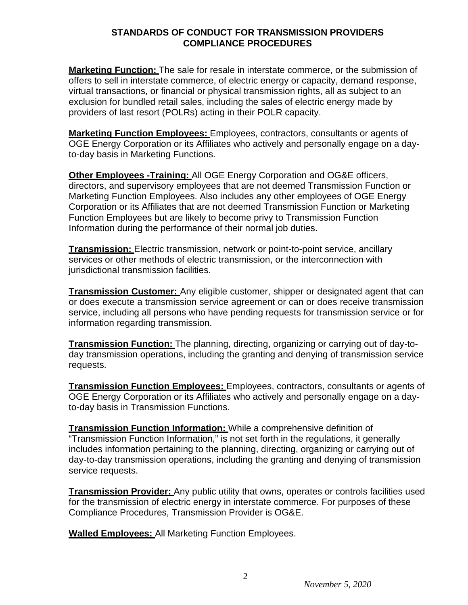**Marketing Function:** The sale for resale in interstate commerce, or the submission of offers to sell in interstate commerce, of electric energy or capacity, demand response, virtual transactions, or financial or physical transmission rights, all as subject to an exclusion for bundled retail sales, including the sales of electric energy made by providers of last resort (POLRs) acting in their POLR capacity.

**Marketing Function Employees:** Employees, contractors, consultants or agents of OGE Energy Corporation or its Affiliates who actively and personally engage on a dayto-day basis in Marketing Functions.

**Other Employees -Training:** All OGE Energy Corporation and OG&E officers, directors, and supervisory employees that are not deemed Transmission Function or Marketing Function Employees. Also includes any other employees of OGE Energy Corporation or its Affiliates that are not deemed Transmission Function or Marketing Function Employees but are likely to become privy to Transmission Function Information during the performance of their normal job duties.

**Transmission:** Electric transmission, network or point-to-point service, ancillary services or other methods of electric transmission, or the interconnection with jurisdictional transmission facilities.

**Transmission Customer:** Any eligible customer, shipper or designated agent that can or does execute a transmission service agreement or can or does receive transmission service, including all persons who have pending requests for transmission service or for information regarding transmission.

**Transmission Function:** The planning, directing, organizing or carrying out of day-today transmission operations, including the granting and denying of transmission service requests.

**Transmission Function Employees:** Employees, contractors, consultants or agents of OGE Energy Corporation or its Affiliates who actively and personally engage on a dayto-day basis in Transmission Functions.

**Transmission Function Information:** While a comprehensive definition of "Transmission Function Information," is not set forth in the regulations, it generally includes information pertaining to the planning, directing, organizing or carrying out of day-to-day transmission operations, including the granting and denying of transmission service requests.

**Transmission Provider:** Any public utility that owns, operates or controls facilities used for the transmission of electric energy in interstate commerce. For purposes of these Compliance Procedures, Transmission Provider is OG&E.

**Walled Employees:** All Marketing Function Employees.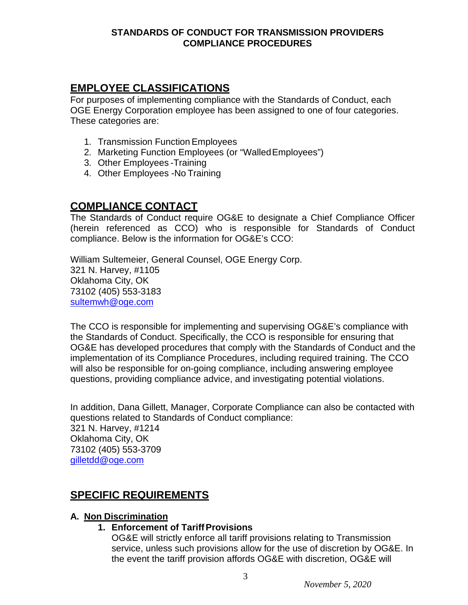# **EMPLOYEE CLASSIFICATIONS**

For purposes of implementing compliance with the Standards of Conduct, each OGE Energy Corporation employee has been assigned to one of four categories. These categories are:

- 1. Transmission FunctionEmployees
- 2. Marketing Function Employees (or "WalledEmployees")
- 3. Other Employees -Training
- 4. Other Employees -No Training

## **COMPLIANCE CONTACT**

The Standards of Conduct require OG&E to designate a Chief Compliance Officer (herein referenced as CCO) who is responsible for Standards of Conduct compliance. Below is the information for OG&E's CCO:

William Sultemeier, General Counsel, OGE Energy Corp. 321 N. Harvey, #1105 Oklahoma City, OK 73102 (405) 553-3183 [sultemwh@oge.com](mailto:sultemwh@oge.com)

The CCO is responsible for implementing and supervising OG&E's compliance with the Standards of Conduct. Specifically, the CCO is responsible for ensuring that OG&E has developed procedures that comply with the Standards of Conduct and the implementation of its Compliance Procedures, including required training. The CCO will also be responsible for on-going compliance, including answering employee questions, providing compliance advice, and investigating potential violations.

In addition, Dana Gillett, Manager, Corporate Compliance can also be contacted with questions related to Standards of Conduct compliance: 321 N. Harvey, #1214 Oklahoma City, OK 73102 (405) 553-3709 [gilletdd@oge.com](mailto:gilletdd@oge.com)

# **SPECIFIC REQUIREMENTS**

## **A. Non Discrimination**

## **1. Enforcement of Tariff Provisions**

OG&E will strictly enforce all tariff provisions relating to Transmission service, unless such provisions allow for the use of discretion by OG&E. In the event the tariff provision affords OG&E with discretion, OG&E will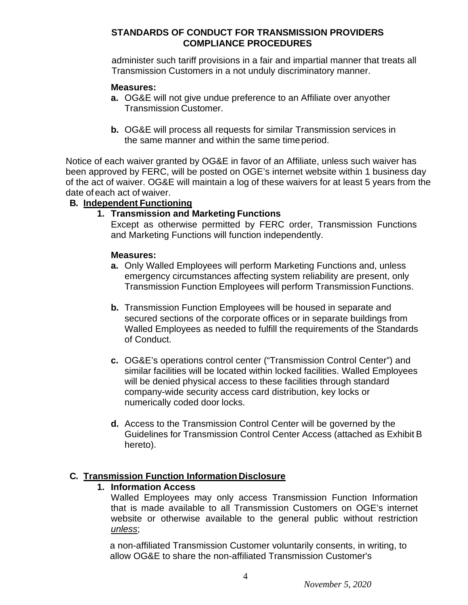administer such tariff provisions in a fair and impartial manner that treats all Transmission Customers in a not unduly discriminatory manner.

#### **Measures:**

- **a.** OG&E will not give undue preference to an Affiliate over anyother Transmission Customer.
- **b.** OG&E will process all requests for similar Transmission services in the same manner and within the same timeperiod.

Notice of each waiver granted by OG&E in favor of an Affiliate, unless such waiver has been approved by FERC, will be posted on OGE's internet website within 1 business day of the act of waiver. OG&E will maintain a log of these waivers for at least 5 years from the date of each act of waiver.

#### **B. Independent Functioning**

## **1. Transmission and Marketing Functions**

Except as otherwise permitted by FERC order, Transmission Functions and Marketing Functions will function independently.

#### **Measures:**

- **a.** Only Walled Employees will perform Marketing Functions and, unless emergency circumstances affecting system reliability are present, only Transmission Function Employees will perform Transmission Functions.
- **b.** Transmission Function Employees will be housed in separate and secured sections of the corporate offices or in separate buildings from Walled Employees as needed to fulfill the requirements of the Standards of Conduct.
- **c.** OG&E's operations control center ("Transmission Control Center") and similar facilities will be located within locked facilities. Walled Employees will be denied physical access to these facilities through standard company-wide security access card distribution, key locks or numerically coded door locks.
- **d.** Access to the Transmission Control Center will be governed by the Guidelines for Transmission Control Center Access (attached as Exhibit B hereto).

## **C. Transmission Function Information Disclosure**

#### **1. Information Access**

Walled Employees may only access Transmission Function Information that is made available to all Transmission Customers on OGE's internet website or otherwise available to the general public without restriction *unless*;

a non-affiliated Transmission Customer voluntarily consents, in writing, to allow OG&E to share the non-affiliated Transmission Customer's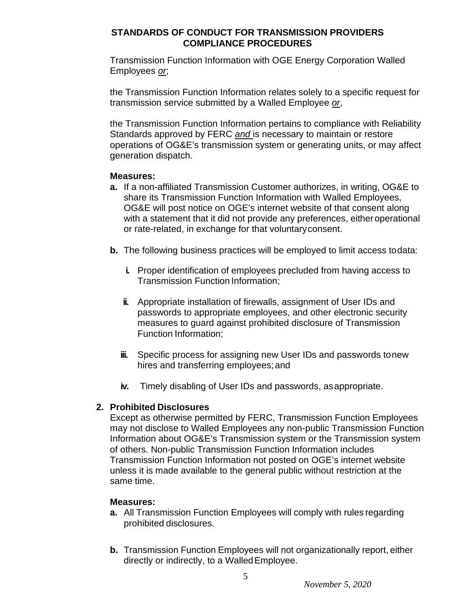Transmission Function Information with OGE Energy Corporation Walled Employees *or*;

the Transmission Function Information relates solely to a specific request for transmission service submitted by a Walled Employee *or*,

the Transmission Function Information pertains to compliance with Reliability Standards approved by FERC *and* is necessary to maintain or restore operations of OG&E's transmission system or generating units, or may affect generation dispatch.

## **Measures:**

- **a.** If a non-affiliated Transmission Customer authorizes, in writing, OG&E to share its Transmission Function Information with Walled Employees, OG&E will post notice on OGE's internet website of that consent along with a statement that it did not provide any preferences, either operational or rate-related, in exchange for that voluntaryconsent.
- **b.** The following business practices will be employed to limit access todata:
	- **i.** Proper identification of employees precluded from having access to Transmission Function Information;
	- **ii.** Appropriate installation of firewalls, assignment of User IDs and passwords to appropriate employees, and other electronic security measures to guard against prohibited disclosure of Transmission Function Information;
	- **iii.** Specific process for assigning new User IDs and passwords to new hires and transferring employees; and
	- **iv.** Timely disabling of User IDs and passwords, asappropriate.

## **2. Prohibited Disclosures**

Except as otherwise permitted by FERC, Transmission Function Employees may not disclose to Walled Employees any non-public Transmission Function Information about OG&E's Transmission system or the Transmission system of others. Non-public Transmission Function Information includes Transmission Function Information not posted on OGE's internet website unless it is made available to the general public without restriction at the same time.

## **Measures:**

- **a.** All Transmission Function Employees will comply with rules regarding prohibited disclosures.
- **b.** Transmission Function Employees will not organizationally report, either directly or indirectly, to a WalledEmployee.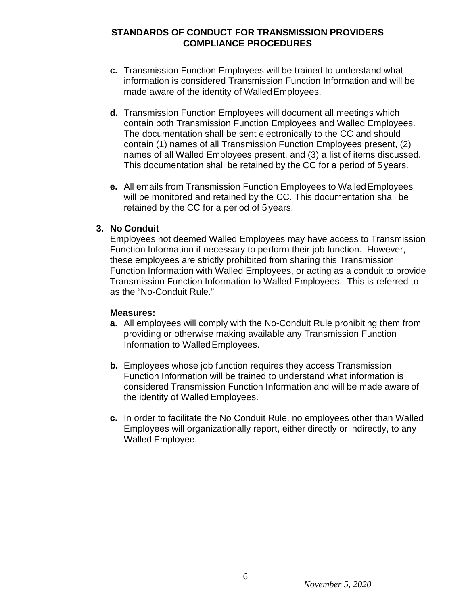- **c.** Transmission Function Employees will be trained to understand what information is considered Transmission Function Information and will be made aware of the identity of Walled Employees.
- **d.** Transmission Function Employees will document all meetings which contain both Transmission Function Employees and Walled Employees. The documentation shall be sent electronically to the CC and should contain (1) names of all Transmission Function Employees present, (2) names of all Walled Employees present, and (3) a list of items discussed. This documentation shall be retained by the CC for a period of 5 years.
- **e.** All emails from Transmission Function Employees to Walled Employees will be monitored and retained by the CC. This documentation shall be retained by the CC for a period of 5 years.

#### **3. No Conduit**

Employees not deemed Walled Employees may have access to Transmission Function Information if necessary to perform their job function. However, these employees are strictly prohibited from sharing this Transmission Function Information with Walled Employees, or acting as a conduit to provide Transmission Function Information to Walled Employees. This is referred to as the "No-Conduit Rule."

#### **Measures:**

- **a.** All employees will comply with the No-Conduit Rule prohibiting them from providing or otherwise making available any Transmission Function Information to WalledEmployees.
- **b.** Employees whose job function requires they access Transmission Function Information will be trained to understand what information is considered Transmission Function Information and will be made aware of the identity of Walled Employees.
- **c.** In order to facilitate the No Conduit Rule, no employees other than Walled Employees will organizationally report, either directly or indirectly, to any Walled Employee.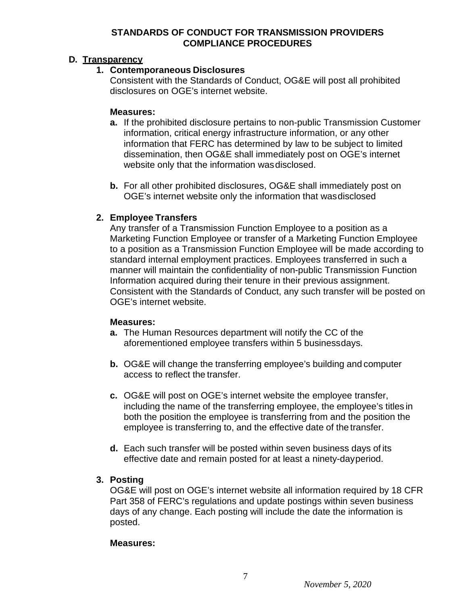## **D. Transparency**

## **1. Contemporaneous Disclosures**

Consistent with the Standards of Conduct, OG&E will post all prohibited disclosures on OGE's internet website.

## **Measures:**

- **a.** If the prohibited disclosure pertains to non-public Transmission Customer information, critical energy infrastructure information, or any other information that FERC has determined by law to be subject to limited dissemination, then OG&E shall immediately post on OGE's internet website only that the information wasdisclosed.
- **b.** For all other prohibited disclosures, OG&E shall immediately post on OGE's internet website only the information that wasdisclosed

## **2. Employee Transfers**

Any transfer of a Transmission Function Employee to a position as a Marketing Function Employee or transfer of a Marketing Function Employee to a position as a Transmission Function Employee will be made according to standard internal employment practices. Employees transferred in such a manner will maintain the confidentiality of non-public Transmission Function Information acquired during their tenure in their previous assignment. Consistent with the Standards of Conduct, any such transfer will be posted on OGE's internet website.

## **Measures:**

- **a.** The Human Resources department will notify the CC of the aforementioned employee transfers within 5 businessdays.
- **b.** OG&E will change the transferring employee's building and computer access to reflect the transfer.
- **c.** OG&E will post on OGE's internet website the employee transfer, including the name of the transferring employee, the employee's titles in both the position the employee is transferring from and the position the employee is transferring to, and the effective date of the transfer.
- **d.** Each such transfer will be posted within seven business days of its effective date and remain posted for at least a ninety-dayperiod.

## **3. Posting**

OG&E will post on OGE's internet website all information required by 18 CFR Part 358 of FERC's regulations and update postings within seven business days of any change. Each posting will include the date the information is posted.

#### **Measures:**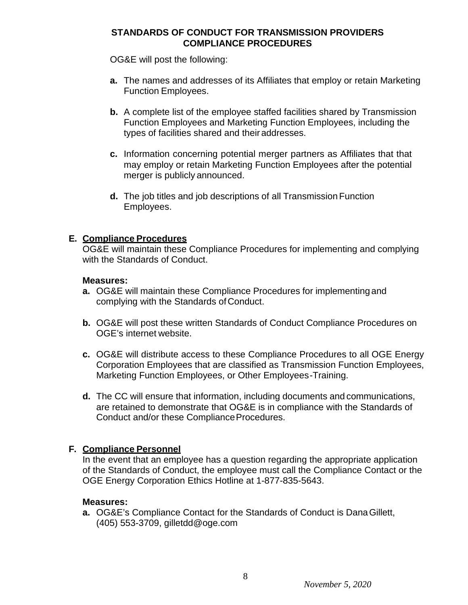OG&E will post the following:

- **a.** The names and addresses of its Affiliates that employ or retain Marketing Function Employees.
- **b.** A complete list of the employee staffed facilities shared by Transmission Function Employees and Marketing Function Employees, including the types of facilities shared and theiraddresses.
- **c.** Information concerning potential merger partners as Affiliates that that may employ or retain Marketing Function Employees after the potential merger is publicly announced.
- **d.** The job titles and job descriptions of all Transmission Function Employees.

## **E. Compliance Procedures**

OG&E will maintain these Compliance Procedures for implementing and complying with the Standards of Conduct.

#### **Measures:**

- **a.** OG&E will maintain these Compliance Procedures for implementing and complying with the Standards of Conduct.
- **b.** OG&E will post these written Standards of Conduct Compliance Procedures on OGE's internet website.
- **c.** OG&E will distribute access to these Compliance Procedures to all OGE Energy Corporation Employees that are classified as Transmission Function Employees, Marketing Function Employees, or Other Employees-Training.
- **d.** The CC will ensure that information, including documents and communications, are retained to demonstrate that OG&E is in compliance with the Standards of Conduct and/or these Compliance Procedures.

## **F. Compliance Personnel**

In the event that an employee has a question regarding the appropriate application of the Standards of Conduct, the employee must call the Compliance Contact or the OGE Energy Corporation Ethics Hotline at 1-877-835-5643.

#### **Measures:**

**a.** OG&E's Compliance Contact for the Standards of Conduct is DanaGillett, (405) 553-3709, [gilletdd@oge.com](mailto:gilletdd@oge.com)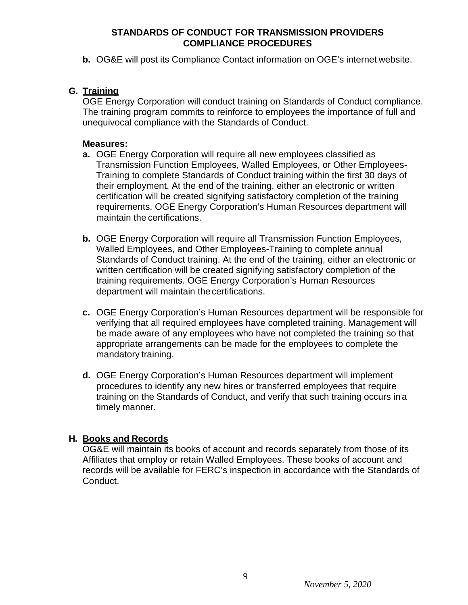**b.** OG&E will post its Compliance Contact information on OGE's internet website.

## **G. Training**

OGE Energy Corporation will conduct training on Standards of Conduct compliance. The training program commits to reinforce to employees the importance of full and unequivocal compliance with the Standards of Conduct.

#### **Measures:**

- **a.** OGE Energy Corporation will require all new employees classified as Transmission Function Employees, Walled Employees, or Other Employees-Training to complete Standards of Conduct training within the first 30 days of their employment. At the end of the training, either an electronic or written certification will be created signifying satisfactory completion of the training requirements. OGE Energy Corporation's Human Resources department will maintain the certifications.
- **b.** OGE Energy Corporation will require all Transmission Function Employees, Walled Employees, and Other Employees-Training to complete annual Standards of Conduct training. At the end of the training, either an electronic or written certification will be created signifying satisfactory completion of the training requirements. OGE Energy Corporation's Human Resources department will maintain thecertifications.
- **c.** OGE Energy Corporation's Human Resources department will be responsible for verifying that all required employees have completed training. Management will be made aware of any employees who have not completed the training so that appropriate arrangements can be made for the employees to complete the mandatory training.
- **d.** OGE Energy Corporation's Human Resources department will implement procedures to identify any new hires or transferred employees that require training on the Standards of Conduct, and verify that such training occurs in a timely manner.

## **H. Books and Records**

OG&E will maintain its books of account and records separately from those of its Affiliates that employ or retain Walled Employees. These books of account and records will be available for FERC's inspection in accordance with the Standards of Conduct.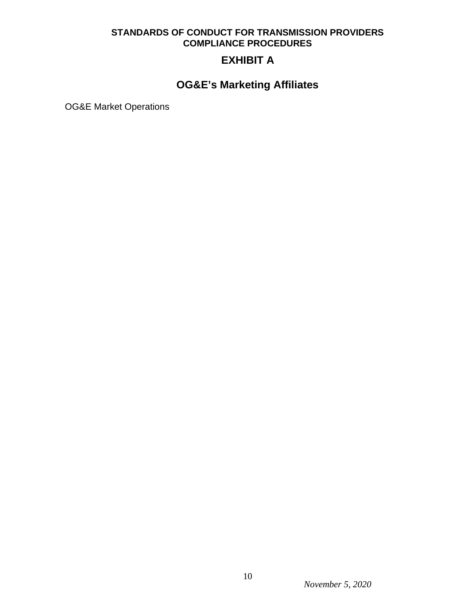# **EXHIBIT A**

# **OG&E's Marketing Affiliates**

OG&E Market Operations